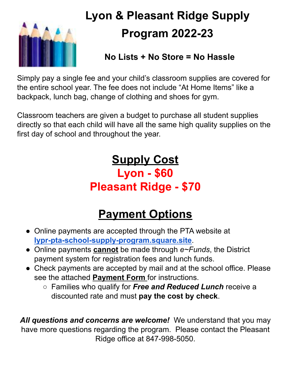

# **Lyon & Pleasant Ridge Supply Program 2022-23**

### **No Lists + No Store = No Hassle**

Simply pay a single fee and your child's classroom supplies are covered for the entire school year. The fee does not include "At Home Items" like a backpack, lunch bag, change of clothing and shoes for gym.

Classroom teachers are given a budget to purchase all student supplies directly so that each child will have all the same high quality supplies on the first day of school and throughout the year.

## **Supply Cost Lyon - \$60 Pleasant Ridge - \$70**

## **Payment Options**

- Online payments are accepted through the PTA website at **[lypr-pta-school-supply-program.square.site](http://lypr-pta-school-supply-program.square.site)**.
- Online payments **cannot** be made through *e~Funds*, the District payment system for registration fees and lunch funds.
- Check payments are accepted by mail and at the school office. Please see the attached **Payment Form** for instructions.
	- Families who qualify for *Free and Reduced Lunch* receive a discounted rate and must **pay the cost by check**.

*All questions and concerns are welcome!* We understand that you may have more questions regarding the program. Please contact the Pleasant Ridge office at 847-998-5050.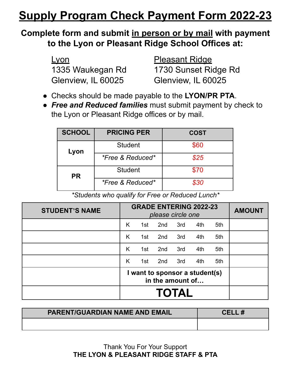## **Supply Program Check Payment Form 2022-23**

#### **Complete form and submit in person or by mail with payment to the Lyon or Pleasant Ridge School Offices at:**

| <u>Lyon</u>        |  |  |
|--------------------|--|--|
| 1335 Waukegan Rd   |  |  |
| Glenview, IL 60025 |  |  |

Pleasant Ridge 1730 Sunset Ridge Rd Glenview, IL 60025

- Checks should be made payable to the **LYON/PR PTA**.
- *Free and Reduced families* must submit payment by check to the Lyon or Pleasant Ridge offices or by mail.

| <b>SCHOOL</b> | <b>PRICING PER</b>          | <b>COST</b> |
|---------------|-----------------------------|-------------|
| Lyon          | <b>Student</b>              | \$60        |
|               | <i>*Free &amp; Reduced*</i> | \$25        |
| <b>PR</b>     | <b>Student</b>              | \$70        |
|               | <i>*Free &amp; Reduced*</i> | \$30        |

*\*Students who qualify for Free or Reduced Lunch\**

| <b>STUDENT'S NAME</b> | <b>GRADE ENTERING 2022-23</b><br>please circle one |     |     |     |     | <b>AMOUNT</b> |  |
|-----------------------|----------------------------------------------------|-----|-----|-----|-----|---------------|--|
|                       | Κ                                                  | 1st | 2nd | 3rd | 4th | 5th           |  |
|                       | Κ                                                  | 1st | 2nd | 3rd | 4th | 5th           |  |
|                       | K                                                  | 1st | 2nd | 3rd | 4th | 5th           |  |
|                       | Κ                                                  | 1st | 2nd | 3rd | 4th | 5th           |  |
|                       | I want to sponsor a student(s)<br>in the amount of |     |     |     |     |               |  |
|                       | <b>TOTAL</b>                                       |     |     |     |     |               |  |

| <b>PARENT/GUARDIAN NAME AND EMAIL</b> | CELL# |
|---------------------------------------|-------|
|                                       |       |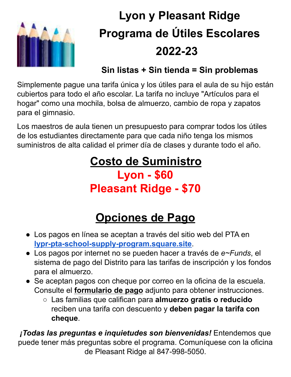

# **Lyon y Pleasant Ridge Programa de Útiles Escolares 2022-23**

### **Sin listas + Sin tienda = Sin problemas**

Simplemente pague una tarifa única y los útiles para el aula de su hijo están cubiertos para todo el año escolar. La tarifa no incluye "Artículos para el hogar" como una mochila, bolsa de almuerzo, cambio de ropa y zapatos para el gimnasio.

Los maestros de aula tienen un presupuesto para comprar todos los útiles de los estudiantes directamente para que cada niño tenga los mismos suministros de alta calidad el primer día de clases y durante todo el año.

## **Costo de Suministro Lyon - \$60 Pleasant Ridge - \$70**

## **Opciones de Pago**

- Los pagos en línea se aceptan a través del sitio web del PTA en **[lypr-pta-school-supply-program.square.site](http://lypr-pta-school-supply-program.square.site)**.
- Los pagos por internet no se pueden hacer a través de *e~Funds*, el sistema de pago del Distrito para las tarifas de inscripción y los fondos para el almuerzo.
- Se aceptan pagos con cheque por correo en la oficina de la escuela. Consulte el **formulario de pago** adjunto para obtener instrucciones.
	- Las familias que califican para **almuerzo gratis o reducido** reciben una tarifa con descuento y **deben pagar la tarifa con cheque**.

*¡Todas las preguntas e inquietudes son bienvenidas!* Entendemos que puede tener más preguntas sobre el programa. Comuníquese con la oficina de Pleasant Ridge al 847-998-5050.